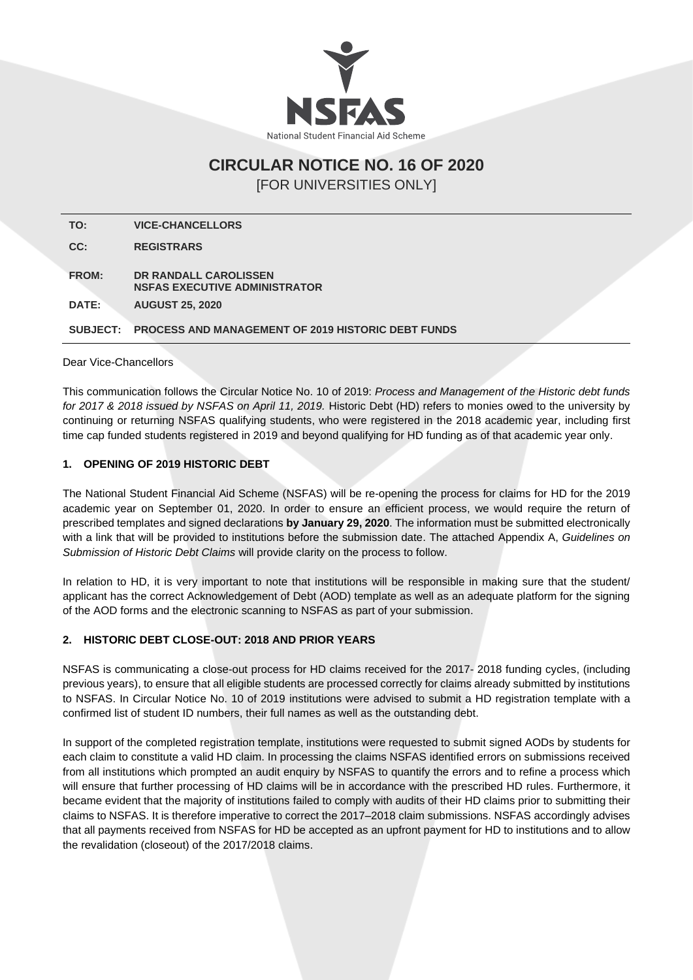

# **CIRCULAR NOTICE NO. 16 OF 2020** [FOR UNIVERSITIES ONLY]

**TO: VICE-CHANCELLORS CC: REGISTRARS FROM: DR RANDALL CAROLISSEN NSFAS EXECUTIVE ADMINISTRATOR DATE: AUGUST 25, 2020 SUBJECT: PROCESS AND MANAGEMENT OF 2019 HISTORIC DEBT FUNDS**

Dear Vice-Chancellors

This communication follows the Circular Notice No. 10 of 2019: *Process and Management of the Historic debt funds for 2017 & 2018 issued by NSFAS on April 11, 2019.* Historic Debt (HD) refers to monies owed to the university by continuing or returning NSFAS qualifying students, who were registered in the 2018 academic year, including first time cap funded students registered in 2019 and beyond qualifying for HD funding as of that academic year only.

#### **1. OPENING OF 2019 HISTORIC DEBT**

The National Student Financial Aid Scheme (NSFAS) will be re-opening the process for claims for HD for the 2019 academic year on September 01, 2020. In order to ensure an efficient process, we would require the return of prescribed templates and signed declarations **by January 29, 2020**. The information must be submitted electronically with a link that will be provided to institutions before the submission date. The attached Appendix A, *Guidelines on Submission of Historic Debt Claims* will provide clarity on the process to follow.

In relation to HD, it is very important to note that institutions will be responsible in making sure that the student/ applicant has the correct Acknowledgement of Debt (AOD) template as well as an adequate platform for the signing of the AOD forms and the electronic scanning to NSFAS as part of your submission.

### **2. HISTORIC DEBT CLOSE-OUT: 2018 AND PRIOR YEARS**

NSFAS is communicating a close-out process for HD claims received for the 2017- 2018 funding cycles, (including previous years), to ensure that all eligible students are processed correctly for claims already submitted by institutions to NSFAS. In Circular Notice No. 10 of 2019 institutions were advised to submit a HD registration template with a confirmed list of student ID numbers, their full names as well as the outstanding debt.

In support of the completed registration template, institutions were requested to submit signed AODs by students for each claim to constitute a valid HD claim. In processing the claims NSFAS identified errors on submissions received from all institutions which prompted an audit enquiry by NSFAS to quantify the errors and to refine a process which will ensure that further processing of HD claims will be in accordance with the prescribed HD rules. Furthermore, it became evident that the majority of institutions failed to comply with audits of their HD claims prior to submitting their claims to NSFAS. It is therefore imperative to correct the 2017–2018 claim submissions. NSFAS accordingly advises that all payments received from NSFAS for HD be accepted as an upfront payment for HD to institutions and to allow the revalidation (closeout) of the 2017/2018 claims.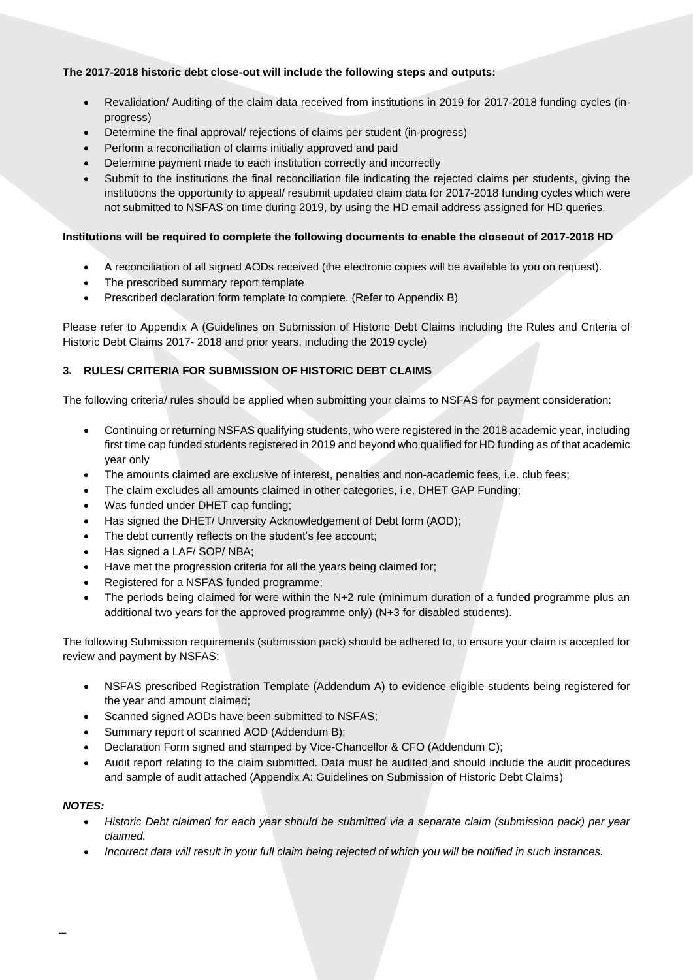## **The 2017-2018 historic debt close-out will include the following steps and outputs:**

- Revalidation/ Auditing of the claim data received from institutions in 2019 for 2017-2018 funding cycles (inprogress)
- Determine the final approval/ rejections of claims per student (in-progress)
- Perform a reconciliation of claims initially approved and paid
- Determine payment made to each institution correctly and incorrectly
- Submit to the institutions the final reconciliation file indicating the rejected claims per students, giving the institutions the opportunity to appeal/ resubmit updated claim data for 2017-2018 funding cycles which were not submitted to NSFAS on time during 2019, by using the HD email address assigned for HD queries.

### **Institutions will be required to complete the following documents to enable the closeout of 2017-2018 HD**

- A reconciliation of all signed AODs received (the electronic copies will be available to you on request).
- The prescribed summary report template
- Prescribed declaration form template to complete. (Refer to Appendix B)

Please refer to Appendix A (Guidelines on Submission of Historic Debt Claims including the Rules and Criteria of Historic Debt Claims 2017- 2018 and prior years, including the 2019 cycle)

# **3. RULES/ CRITERIA FOR SUBMISSION OF HISTORIC DEBT CLAIMS**

The following criteria/ rules should be applied when submitting your claims to NSFAS for payment consideration:

- Continuing or returning NSFAS qualifying students, who were registered in the 2018 academic year, including first time cap funded students registered in 2019 and beyond who qualified for HD funding as of that academic year only
- The amounts claimed are exclusive of interest, penalties and non-academic fees, i.e. club fees;
- The claim excludes all amounts claimed in other categories, i.e. DHET GAP Funding;
- Was funded under DHET cap funding;
- Has signed the DHET/ University Acknowledgement of Debt form (AOD);
- The debt currently reflects on the student's fee account;
- Has signed a LAF/ SOP/ NBA;
- Have met the progression criteria for all the years being claimed for;
- Registered for a NSFAS funded programme;
- The periods being claimed for were within the N+2 rule (minimum duration of a funded programme plus an additional two years for the approved programme only) (N+3 for disabled students).

The following Submission requirements (submission pack) should be adhered to, to ensure your claim is accepted for review and payment by NSFAS:

- NSFAS prescribed Registration Template (Addendum A) to evidence eligible students being registered for the year and amount claimed;
- Scanned signed AODs have been submitted to NSFAS;
- Summary report of scanned AOD (Addendum B);
- Declaration Form signed and stamped by Vice-Chancellor & CFO (Addendum C);
- Audit report relating to the claim submitted. Data must be audited and should include the audit procedures and sample of audit attached (Appendix A: Guidelines on Submission of Historic Debt Claims)

### *NOTES:*

\_

- *Historic Debt claimed for each year should be submitted via a separate claim (submission pack) per year claimed.*
- *Incorrect data will result in your full claim being rejected of which you will be notified in such instances.*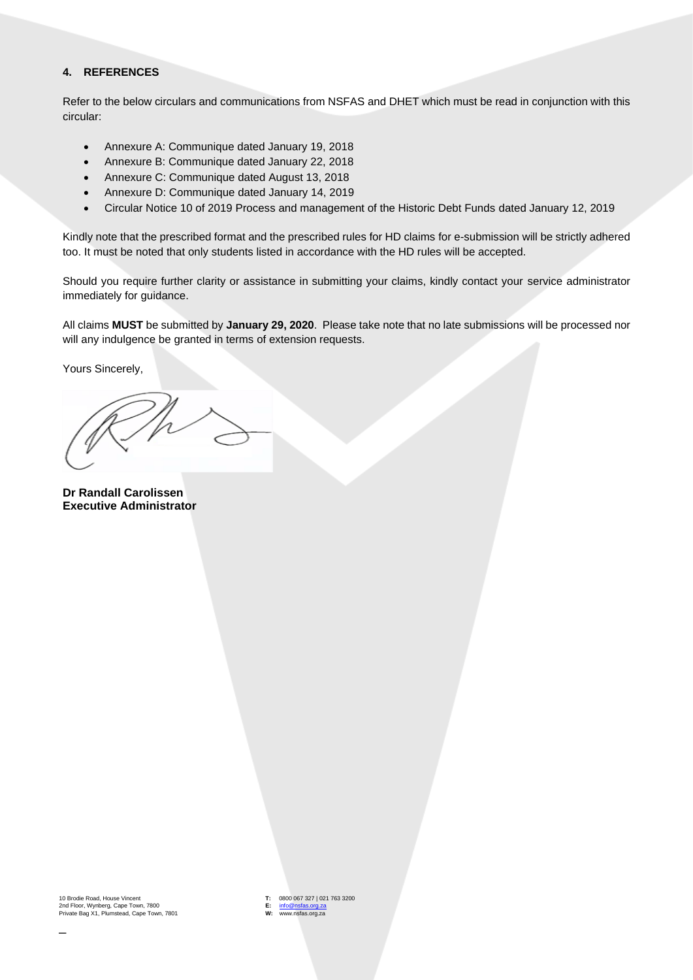#### **4. REFERENCES**

Refer to the below circulars and communications from NSFAS and DHET which must be read in conjunction with this circular:

- Annexure A: Communique dated January 19, 2018
- Annexure B: Communique dated January 22, 2018
- Annexure C: Communique dated August 13, 2018
- Annexure D: Communique dated January 14, 2019
- Circular Notice 10 of 2019 Process and management of the Historic Debt Funds dated January 12, 2019

Kindly note that the prescribed format and the prescribed rules for HD claims for e-submission will be strictly adhered too. It must be noted that only students listed in accordance with the HD rules will be accepted.

Should you require further clarity or assistance in submitting your claims, kindly contact your service administrator immediately for guidance.

All claims **MUST** be submitted by **January 29, 2020**. Please take note that no late submissions will be processed nor will any indulgence be granted in terms of extension requests.

Yours Sincerely,

**Dr Randall Carolissen Executive Administrator** 

10 Brodie Road, House Vincent 2nd Floor, Wynberg, Cape Town, 7800 Private Bag X1, Plumstead, Cape Town, 7801 **T:** 0800 067 327 | 021 763 3200 **E:** [info@nsfas.org.za](mailto:info@nsfas.org.za) **W:** www.nsfas.org.za